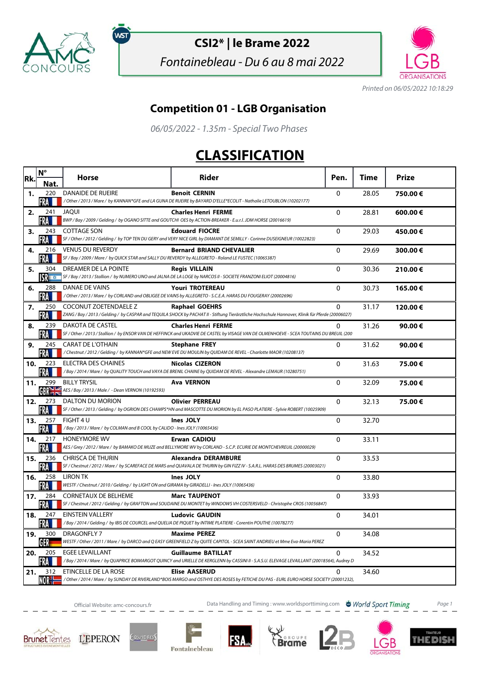

์พร

## **CSI2\* | le Brame 2022**

Fontainebleau - Du 6 au 8 mai 2022



Printed on 06/05/2022 10:18:29

## **Competition 01 - LGB Organisation**

06/05/2022 - 1.35m - Special Two Phases

## **CLASSIFICATION**

| Rk. | $N^{\circ}$                   | <b>Horse</b>                                                                                                                      | Rider                                                                                                                                                                      | Pen.         | Time  | <b>Prize</b> |
|-----|-------------------------------|-----------------------------------------------------------------------------------------------------------------------------------|----------------------------------------------------------------------------------------------------------------------------------------------------------------------------|--------------|-------|--------------|
|     | Nat.                          |                                                                                                                                   |                                                                                                                                                                            |              |       |              |
| 1.  | 220<br>FRA                    | <b>DANAIDE DE RUEIRE</b>                                                                                                          | <b>Benoit CERNIN</b><br>/Other/2013/Mare/ by KANNAN*GFE and LA GUNA DE RUEIRE by BAYARD D'ELLE*ECOLIT - Nathalie LETOUBLON (10202177)                                      | $\Omega$     | 28.05 | 750.00€      |
| 2.  | 241<br>FRA LI                 | <b>JAOUI</b>                                                                                                                      | <b>Charles Henri FERME</b><br>BWP / Bay / 2009 / Gelding / by OGANO SITTE and GOUTCHI OES by ACTION-BREAKER - E.u.r.l. JDM HORSE (20016619)                                | 0            | 28.81 | 600.00€      |
| з.  | 243<br>FRA                    | <b>COTTAGE SON</b>                                                                                                                | <b>Edouard FIOCRE</b><br>SF / Other / 2012 / Gelding / by TOP TEN DU GERY and VERY NICE GIRL by DIAMANT DE SEMILLY - Corinne DUSEIGNEUR (10022823)                         | $\Omega$     | 29.03 | 450.00€      |
| 4.  | 216<br>FRA                    | <b>VENUS DU REVERDY</b><br>SF / Bay / 2009 / Mare / by QUICK STAR and SALLY DU REVERDY by ALLEGRETO - Roland LE FUSTEC (10065387) | <b>Bernard BRIAND CHEVALIER</b>                                                                                                                                            | $\mathbf 0$  | 29.69 | 300.00€      |
| 5.  | 304                           | DREAMER DE LA POINTE                                                                                                              | <b>Regis VILLAIN</b><br>SF / Bay / 2013 / Stallion / by NUMERO UNO and JALNA DE LA LOGE by NARCOS II - SOCIETE FRANZONI ELIOT (20004816)                                   | 0            | 30.36 | 210.00€      |
| 6.  | 288<br>FRA                    | DANAE DE VAINS                                                                                                                    | <b>Youri TROTEREAU</b><br>/ Other / 2013 / Mare / by CORLAND and OBLIGEE DE VAINS by ALLEGRETO - S.C.E.A. HARAS DU FOUGERAY (20002696)                                     | $\mathbf{0}$ | 30.73 | 165.00€      |
| 7.  | 250<br>FRA                    | COCONUT ZOETENDAELE Z                                                                                                             | <b>Raphael GOEHRS</b><br>ZANG / Bay / 2013 / Gelding / by CASPAR and TEQUILA SHOCK by PACHAT II - Stiftung Tierärztliche Hochschule Hannover, Klinik für Pferde (20006027) | 0            | 31.17 | 120.00€      |
| 8.  | 239<br>FRA M                  | DAKOTA DE CASTEL                                                                                                                  | <b>Charles Henri FERME</b><br>SF / Other / 2013 / Stallion / by ENSOR VAN DE HEFFINCK and UKADVIE DE CASTEL by VISAGE VAN DE OLMENHOEVE - SCEA TOUTAINS DU BREUIL (200     | $\mathbf{0}$ | 31.26 | 90.00€       |
| 9.  | 245<br>FRA                    | <b>CARAT DE L'OTHAIN</b>                                                                                                          | <b>Stephane FREY</b><br>/Chestnut / 2012 / Gelding / by KANNAN*GFE and NEW EVE DU MOULIN by QUIDAM DE REVEL - Charlotte MAOR (10208137)                                    | $\Omega$     | 31.62 | 90.00€       |
| 10. | 223<br>·RA                    | ELECTRA DES CHAINES                                                                                                               | <b>Nicolas CIZERON</b><br>/Bay / 2014 / Mare / by QUALITY TOUCH and VAYA DE BRENIL CHAINE by QUIDAM DE REVEL - Alexandre LEMAUR (10280751)                                 | $\Omega$     | 31.63 | 75.00€       |
| 11. | 299<br><b>GBR<sub>7</sub></b> | <b>BILLY TRYSIL</b><br>AES / Bay / 2013 / Male / - Dean VERNON (10192593)                                                         | <b>Ava VERNON</b>                                                                                                                                                          | 0            | 32.09 | 75.00€       |
| 12. | 273<br>FRA                    | <b>DALTON DU MORION</b>                                                                                                           | <b>Olivier PERREAU</b><br>SF / Other / 2013 / Gelding / by OGRION DES CHAMPS*HN and MASCOTTE DU MORION by EL PASO PLATIERE - Sylvie ROBERT (10025909)                      | 0            | 32.13 | 75.00€       |
| 13. | 257<br>FRA                    | FIGHT 4 U<br>/Bay / 2013 / Mare / by COLMAN and B COOL by CALIDO - Ines JOLY (10065436)                                           | Ines JOLY                                                                                                                                                                  | 0            | 32.70 |              |
| 14. | 217<br>FRA LI                 | <b>HONEYMORE WV</b>                                                                                                               | <b>Erwan CADIOU</b><br>AES / Grey / 2012 / Mare / by BAMAKO DE MUZE and BELLYMORE WV by CORLAND - S.C.P. ECURIE DE MONTCHEVREUIL (20000029)                                | 0            | 33.11 |              |
| 15. | 236<br><b>FRA</b>             | <b>CHRISCA DE THURIN</b>                                                                                                          | <b>Alexandra DERAMBURE</b><br>SF / Chestnut / 2012 / Mare / by SCAREFACE DE MARS and QUAVALA DE THURIN by GIN FIZZ IV - S.A.R.L. HARAS DES BRUMES (20003021)               | 0            | 33.53 |              |
| 16. | 258<br>FRA                    | LIRON TK<br>WESTF / Chestnut / 2010 / Gelding / by LIGHT ON and GIRAMA by GIRADELLI - Ines JOLY (10065436)                        | Ines JOLY                                                                                                                                                                  | 0            | 33.80 |              |
| 17. | 284<br>FRA                    | <b>CORNETAUX DE BELHEME</b>                                                                                                       | <b>Marc TAUPENOT</b><br>SF / Chestnut / 2012 / Gelding / by GRAFTON and SOUDAINE DU MONTET by WINDOWS VH COSTERSVELD - Christophe CROS (10056847)                          | $\Omega$     | 33.93 |              |
| 18. | 247<br>FRA LI                 | <b>EINSTEIN VALLERY</b>                                                                                                           | <b>Ludovic GAUDIN</b><br>/Bay/2014/Gelding/by IBIS DE COURCEL and QUELIA DE PIQUET by INTIME PLATIERE - Corentin POUTHE (10078277)                                         | 0            | 34.01 |              |
| 19. | 300<br>GER                    | DRAGONFLY 7                                                                                                                       | <b>Maxime PEREZ</b><br>WESTF / Other / 2011 / Mare / by DARCO and Q EASY GREENFIELD Z by QUITE CAPITOL - SCEA SAINT ANDRIEU et Mme Eva-Maria PEREZ                         | $\mathbf{0}$ | 34.08 |              |
| 20. | 205                           | <b>EGEE LEVAILLANT</b>                                                                                                            | <b>Guillaume BATILLAT</b><br>/Bay / 2014 / Mare / by QUAPRICE BOIMARGOT QUINCY and URIELLE DE KERGLENN by CASSINI II - S.A.S.U. ELEVAGE LEVAILLANT (20018564), Audrey D    | 0            | 34.52 |              |
| 21. | NORH                          | 312 ETINCELLE DE LA ROSE                                                                                                          | <b>Elise AASERUD</b><br>/Other/2014/Mare/ by SUNDAY DE RIVERLAND*BOIS MARGO and OSTHYE DES ROSES by FETICHE DU PAS - EURL EURO HORSE SOCIETY (20001232),                   | $\Omega$     | 34.60 |              |

Official Website: amc-concours.fr **Data Handling and Timing : www.worldsporttiming.com World Sport Timing** Page 1